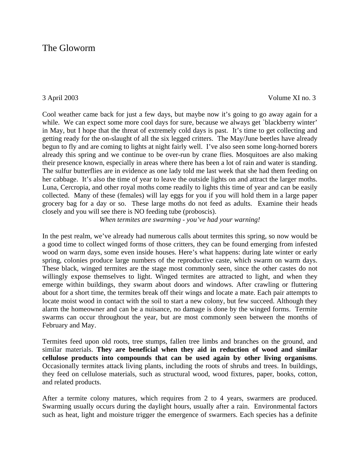# The Gloworm

3 April 2003 Volume XI no. 3

Cool weather came back for just a few days, but maybe now it's going to go away again for a while. We can expect some more cool days for sure, because we always get `blackberry winter' in May, but I hope that the threat of extremely cold days is past. It's time to get collecting and getting ready for the on-slaught of all the six legged critters. The May/June beetles have already begun to fly and are coming to lights at night fairly well. I've also seen some long-horned borers already this spring and we continue to be over-run by crane flies. Mosquitoes are also making their presence known, especially in areas where there has been a lot of rain and water is standing. The sulfur butterflies are in evidence as one lady told me last week that she had them feeding on her cabbage. It's also the time of year to leave the outside lights on and attract the larger moths. Luna, Cercropia, and other royal moths come readily to lights this time of year and can be easily collected. Many of these (females) will lay eggs for you if you will hold them in a large paper grocery bag for a day or so. These large moths do not feed as adults. Examine their heads closely and you will see there is NO feeding tube (proboscis).

*When termites are swarming - you've had your warning!*

In the pest realm, we've already had numerous calls about termites this spring, so now would be a good time to collect winged forms of those critters, they can be found emerging from infested wood on warm days, some even inside houses. Here's what happens: during late winter or early spring, colonies produce large numbers of the reproductive caste, which swarm on warm days. These black, winged termites are the stage most commonly seen, since the other castes do not willingly expose themselves to light. Winged termites are attracted to light, and when they emerge within buildings, they swarm about doors and windows. After crawling or fluttering about for a short time, the termites break off their wings and locate a mate. Each pair attempts to locate moist wood in contact with the soil to start a new colony, but few succeed. Although they alarm the homeowner and can be a nuisance, no damage is done by the winged forms. Termite swarms can occur throughout the year, but are most commonly seen between the months of February and May.

Termites feed upon old roots, tree stumps, fallen tree limbs and branches on the ground, and similar materials. **They are beneficial when they aid in reduction of wood and similar cellulose products into compounds that can be used again by other living organisms**. Occasionally termites attack living plants, including the roots of shrubs and trees. In buildings, they feed on cellulose materials, such as structural wood, wood fixtures, paper, books, cotton, and related products.

After a termite colony matures, which requires from 2 to 4 years, swarmers are produced. Swarming usually occurs during the daylight hours, usually after a rain. Environmental factors such as heat, light and moisture trigger the emergence of swarmers. Each species has a definite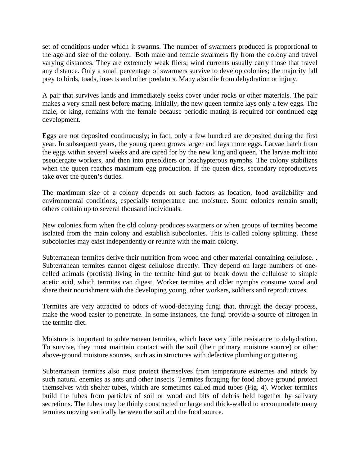set of conditions under which it swarms. The number of swarmers produced is proportional to the age and size of the colony. Both male and female swarmers fly from the colony and travel varying distances. They are extremely weak fliers; wind currents usually carry those that travel any distance. Only a small percentage of swarmers survive to develop colonies; the majority fall prey to birds, toads, insects and other predators. Many also die from dehydration or injury.

A pair that survives lands and immediately seeks cover under rocks or other materials. The pair makes a very small nest before mating. Initially, the new queen termite lays only a few eggs. The male, or king, remains with the female because periodic mating is required for continued egg development.

Eggs are not deposited continuously; in fact, only a few hundred are deposited during the first year. In subsequent years, the young queen grows larger and lays more eggs. Larvae hatch from the eggs within several weeks and are cared for by the new king and queen. The larvae molt into pseudergate workers, and then into presoldiers or brachypterous nymphs. The colony stabilizes when the queen reaches maximum egg production. If the queen dies, secondary reproductives take over the queen's duties.

The maximum size of a colony depends on such factors as location, food availability and environmental conditions, especially temperature and moisture. Some colonies remain small; others contain up to several thousand individuals.

New colonies form when the old colony produces swarmers or when groups of termites become isolated from the main colony and establish subcolonies. This is called colony splitting. These subcolonies may exist independently or reunite with the main colony.

Subterranean termites derive their nutrition from wood and other material containing cellulose. . Subterranean termites cannot digest cellulose directly. They depend on large numbers of onecelled animals (protists) living in the termite hind gut to break down the cellulose to simple acetic acid, which termites can digest. Worker termites and older nymphs consume wood and share their nourishment with the developing young, other workers, soldiers and reproductives.

Termites are very attracted to odors of wood-decaying fungi that, through the decay process, make the wood easier to penetrate. In some instances, the fungi provide a source of nitrogen in the termite diet.

Moisture is important to subterranean termites, which have very little resistance to dehydration. To survive, they must maintain contact with the soil (their primary moisture source) or other above-ground moisture sources, such as in structures with defective plumbing or guttering.

Subterranean termites also must protect themselves from temperature extremes and attack by such natural enemies as ants and other insects. Termites foraging for food above ground protect themselves with shelter tubes, which are sometimes called mud tubes (Fig. 4). Worker termites build the tubes from particles of soil or wood and bits of debris held together by salivary secretions. The tubes may be thinly constructed or large and thick-walled to accommodate many termites moving vertically between the soil and the food source.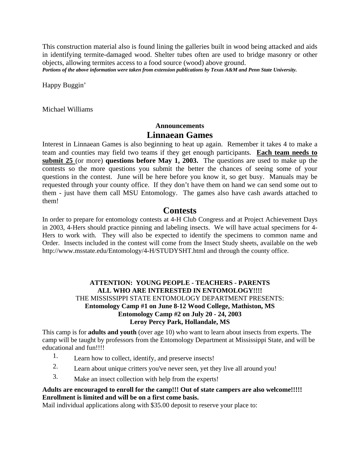This construction material also is found lining the galleries built in wood being attacked and aids in identifying termite-damaged wood. Shelter tubes often are used to bridge masonry or other objects, allowing termites access to a food source (wood) above ground.

*Portions of the above information were taken from extension publications by Texas A&M and Penn State University.*

Happy Buggin'

Michael Williams

# **Announcements Linnaean Games**

Interest in Linnaean Games is also beginning to heat up again. Remember it takes 4 to make a team and counties may field two teams if they get enough participants. **Each team needs to submit 25** (or more) **questions before May 1, 2003.** The questions are used to make up the contests so the more questions you submit the better the chances of seeing some of your questions in the contest. June will be here before you know it, so get busy. Manuals may be requested through your county office. If they don't have them on hand we can send some out to them - just have them call MSU Entomology. The games also have cash awards attached to them!

## **Contests**

In order to prepare for entomology contests at 4-H Club Congress and at Project Achievement Days in 2003, 4-Hers should practice pinning and labeling insects. We will have actual specimens for 4- Hers to work with. They will also be expected to identify the specimens to common name and Order. Insects included in the contest will come from the Insect Study sheets, available on the web http://www.msstate.edu/Entomology/4-H/STUDYSHT.html and through the county office.

## **ATTENTION: YOUNG PEOPLE - TEACHERS - PARENTS ALL WHO ARE INTERESTED IN ENTOMOLOGY!!!!**  THE MISSISSIPPI STATE ENTOMOLOGY DEPARTMENT PRESENTS: **Entomology Camp #1 on June 8-12 Wood College, Mathiston, MS Entomology Camp #2 on July 20 - 24, 2003 Leroy Percy Park, Hollandale, MS**

This camp is for **adults and youth** (over age 10) who want to learn about insects from experts. The camp will be taught by professors from the Entomology Department at Mississippi State, and will be educational and fun!!!!

- 1. Learn how to collect, identify, and preserve insects!
- 2. Learn about unique critters you've never seen, yet they live all around you!
- 3. Make an insect collection with help from the experts!

### **Adults are encouraged to enroll for the camp!!! Out of state campers are also welcome!!!!! Enrollment is limited and will be on a first come basis.**

Mail individual applications along with \$35.00 deposit to reserve your place to: